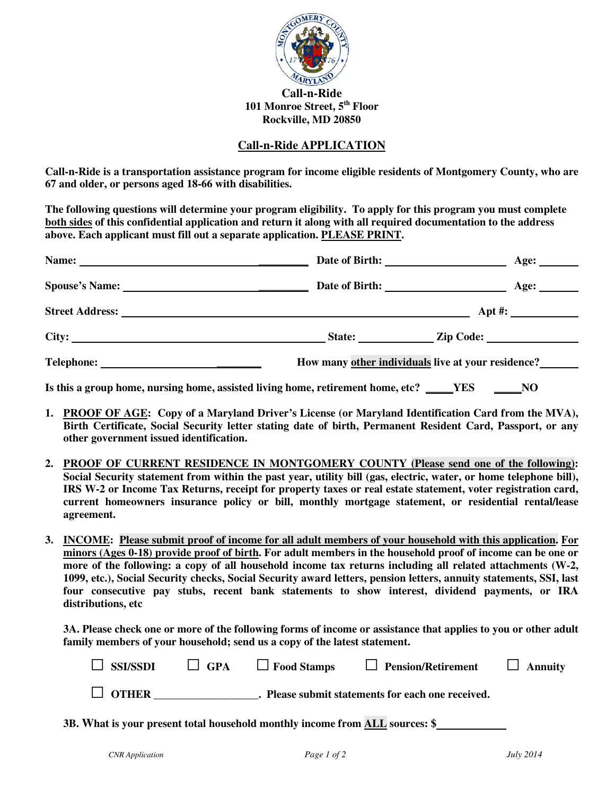

## **Call-n-Ride APPLICATION**

**Call-n-Ride is a transportation assistance program for income eligible residents of Montgomery County, who are 67 and older, or persons aged 18-66 with disabilities.** 

**The following questions will determine your program eligibility. To apply for this program you must complete both sides of this confidential application and return it along with all required documentation to the address above. Each applicant must fill out a separate application. PLEASE PRINT.** 

| Name: 2008. 2008. 2010. 2010. 2010. 2010. 2010. 2010. 2010. 2010. 2010. 2010. 2010. 2010. 2010. 2010. 2010. 20 |                                                                                 | Age:                                               |  |  |  |
|----------------------------------------------------------------------------------------------------------------|---------------------------------------------------------------------------------|----------------------------------------------------|--|--|--|
|                                                                                                                |                                                                                 | Age: $\qquad \qquad$                               |  |  |  |
|                                                                                                                |                                                                                 |                                                    |  |  |  |
|                                                                                                                |                                                                                 | State: <u>Zip Code:</u>                            |  |  |  |
| Telephone:                                                                                                     |                                                                                 | How many other individuals live at your residence? |  |  |  |
|                                                                                                                | Is this a group home, nursing home, assisted living home, retirement home, etc? | YES<br>NO                                          |  |  |  |

- **1. PROOF OF AGE: Copy of a Maryland Driver's License (or Maryland Identification Card from the MVA), Birth Certificate, Social Security letter stating date of birth, Permanent Resident Card, Passport, or any other government issued identification.**
- **2. PROOF OF CURRENT RESIDENCE IN MONTGOMERY COUNTY (Please send one of the following): Social Security statement from within the past year, utility bill (gas, electric, water, or home telephone bill), IRS W-2 or Income Tax Returns, receipt for property taxes or real estate statement, voter registration card, current homeowners insurance policy or bill, monthly mortgage statement, or residential rental/lease agreement.**
- **3. INCOME: Please submit proof of income for all adult members of your household with this application. For minors (Ages 0-18) provide proof of birth. For adult members in the household proof of income can be one or more of the following: a copy of all household income tax returns including all related attachments (W-2, 1099, etc.), Social Security checks, Social Security award letters, pension letters, annuity statements, SSI, last four consecutive pay stubs, recent bank statements to show interest, dividend payments, or IRA distributions, etc**

**3A. Please check one or more of the following forms of income or assistance that applies to you or other adult family members of your household; send us a copy of the latest statement.** 

| $\Box$ SSI/SSDI | $\Box$ GPA | $\Box$ Food Stamps | <b>Pension/Retirement</b>                       | $\Box$ Annuity |
|-----------------|------------|--------------------|-------------------------------------------------|----------------|
| $\Box$ OTHER    |            |                    | Please submit statements for each one received. |                |

**3B. What is your present total household monthly income from ALL sources: \$**